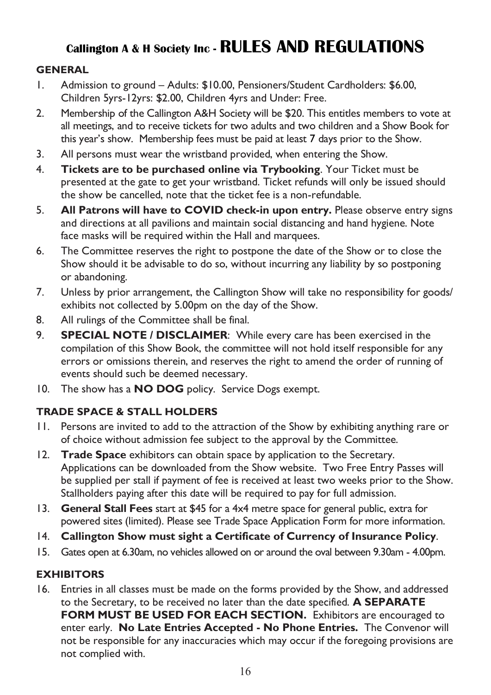## **Callington A & H Society Inc - RULES AND REGULATIONS**

## **GENERAL**

- 1. Admission to ground Adults: \$10.00, Pensioners/Student Cardholders: \$6.00, Children 5yrs-12yrs: \$2.00, Children 4yrs and Under: Free.
- 2. Membership of the Callington A&H Society will be \$20. This entitles members to vote at all meetings, and to receive tickets for two adults and two children and a Show Book for this year's show. Membership fees must be paid at least 7 days prior to the Show.
- 3. All persons must wear the wristband provided, when entering the Show.
- 4. **Tickets are to be purchased online via Trybooking**. Your Ticket must be presented at the gate to get your wristband. Ticket refunds will only be issued should the show be cancelled, note that the ticket fee is a non-refundable.
- 5. **All Patrons will have to COVID check-in upon entry.** Please observe entry signs and directions at all pavilions and maintain social distancing and hand hygiene. Note face masks will be required within the Hall and marquees.
- 6. The Committee reserves the right to postpone the date of the Show or to close the Show should it be advisable to do so, without incurring any liability by so postponing or abandoning.
- 7. Unless by prior arrangement, the Callington Show will take no responsibility for goods/ exhibits not collected by 5.00pm on the day of the Show.
- 8. All rulings of the Committee shall be final.
- 9. **SPECIAL NOTE / DISCLAIMER**: While every care has been exercised in the compilation of this Show Book, the committee will not hold itself responsible for any errors or omissions therein, and reserves the right to amend the order of running of events should such be deemed necessary.
- 10. The show has a **NO DOG** policy. Service Dogs exempt.

## **TRADE SPACE & STALL HOLDERS**

- 11. Persons are invited to add to the attraction of the Show by exhibiting anything rare or of choice without admission fee subject to the approval by the Committee.
- 12. **Trade Space** exhibitors can obtain space by application to the Secretary. Applications can be downloaded from the Show website. Two Free Entry Passes will be supplied per stall if payment of fee is received at least two weeks prior to the Show. Stallholders paying after this date will be required to pay for full admission.
- 13. **General Stall Fees** start at \$45 for a 4x4 metre space for general public, extra for powered sites (limited). Please see Trade Space Application Form for more information.
- 14. **Callington Show must sight a Certificate of Currency of Insurance Policy**.
- 15. Gates open at 6.30am, no vehicles allowed on or around the oval between 9.30am 4.00pm.

## **EXHIBITORS**

16. Entries in all classes must be made on the forms provided by the Show, and addressed to the Secretary, to be received no later than the date specified. **A SEPARATE FORM MUST BE USED FOR EACH SECTION.** Exhibitors are encouraged to enter early. **No Late Entries Accepted - No Phone Entries.** The Convenor will not be responsible for any inaccuracies which may occur if the foregoing provisions are not complied with.